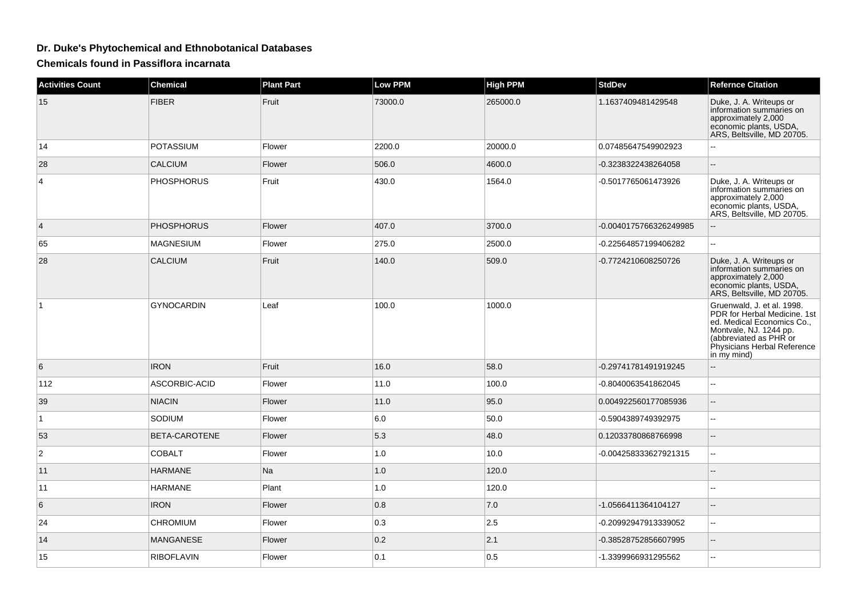## **Dr. Duke's Phytochemical and Ethnobotanical Databases**

**Chemicals found in Passiflora incarnata**

| <b>Activities Count</b> | <b>Chemical</b>   | <b>Plant Part</b> | Low PPM | <b>High PPM</b> | <b>StdDev</b>          | <b>Refernce Citation</b>                                                                                                                                                                   |
|-------------------------|-------------------|-------------------|---------|-----------------|------------------------|--------------------------------------------------------------------------------------------------------------------------------------------------------------------------------------------|
| 15                      | <b>FIBER</b>      | Fruit             | 73000.0 | 265000.0        | 1.1637409481429548     | Duke, J. A. Writeups or<br>information summaries on<br>approximately 2,000<br>economic plants, USDA,<br>ARS, Beltsville, MD 20705.                                                         |
| 14                      | <b>POTASSIUM</b>  | Flower            | 2200.0  | 20000.0         | 0.07485647549902923    |                                                                                                                                                                                            |
| 28                      | <b>CALCIUM</b>    | Flower            | 506.0   | 4600.0          | -0.3238322438264058    |                                                                                                                                                                                            |
| 4                       | <b>PHOSPHORUS</b> | Fruit             | 430.0   | 1564.0          | -0.5017765061473926    | Duke, J. A. Writeups or<br>information summaries on<br>approximately 2,000<br>economic plants, USDA,<br>ARS, Beltsville, MD 20705.                                                         |
| 4                       | <b>PHOSPHORUS</b> | Flower            | 407.0   | 3700.0          | -0.0040175766326249985 |                                                                                                                                                                                            |
| 65                      | <b>MAGNESIUM</b>  | Flower            | 275.0   | 2500.0          | -0.22564857199406282   | $\mathbf{u}$                                                                                                                                                                               |
| 28                      | <b>CALCIUM</b>    | Fruit             | 140.0   | 509.0           | -0.7724210608250726    | Duke, J. A. Writeups or<br>information summaries on<br>approximately 2,000<br>economic plants, USDA,<br>ARS, Beltsville, MD 20705.                                                         |
| 1                       | <b>GYNOCARDIN</b> | Leaf              | 100.0   | 1000.0          |                        | Gruenwald, J. et al. 1998.<br>PDR for Herbal Medicine, 1st<br>ed. Medical Economics Co.,<br>Montvale, NJ. 1244 pp.<br>(abbreviated as PHR or<br>Physicians Herbal Reference<br>in my mind) |
| 6                       | <b>IRON</b>       | Fruit             | 16.0    | 58.0            | -0.29741781491919245   | $\overline{\phantom{a}}$                                                                                                                                                                   |
| 112                     | ASCORBIC-ACID     | Flower            | 11.0    | 100.0           | -0.8040063541862045    | ÷.                                                                                                                                                                                         |
| 39                      | <b>NIACIN</b>     | Flower            | 11.0    | 95.0            | 0.004922560177085936   | ÷.                                                                                                                                                                                         |
| $\mathbf{1}$            | SODIUM            | Flower            | 6.0     | 50.0            | -0.5904389749392975    | $\mathbf{u}$                                                                                                                                                                               |
| 53                      | BETA-CAROTENE     | Flower            | 5.3     | 48.0            | 0.12033780868766998    | $\sim$                                                                                                                                                                                     |
| $\overline{2}$          | <b>COBALT</b>     | Flower            | 1.0     | 10.0            | -0.004258333627921315  | $\sim$                                                                                                                                                                                     |
| 11                      | <b>HARMANE</b>    | <b>Na</b>         | 1.0     | 120.0           |                        |                                                                                                                                                                                            |
| 11                      | <b>HARMANE</b>    | Plant             | 1.0     | 120.0           |                        | $\sim$                                                                                                                                                                                     |
| 6                       | <b>IRON</b>       | Flower            | 0.8     | 7.0             | -1.0566411364104127    |                                                                                                                                                                                            |
| 24                      | <b>CHROMIUM</b>   | Flower            | 0.3     | 2.5             | -0.20992947913339052   | $\overline{\phantom{a}}$                                                                                                                                                                   |
| 14                      | <b>MANGANESE</b>  | Flower            | 0.2     | 2.1             | -0.38528752856607995   | $\sim$                                                                                                                                                                                     |
| 15                      | <b>RIBOFLAVIN</b> | Flower            | 0.1     | 0.5             | -1.3399966931295562    | $\sim$                                                                                                                                                                                     |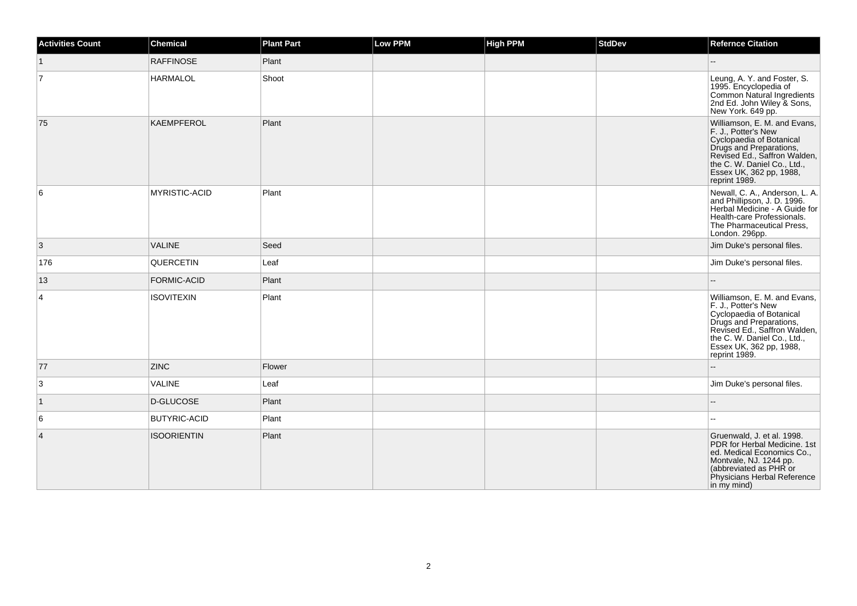| <b>Activities Count</b> | <b>Chemical</b>      | <b>Plant Part</b> | Low PPM | <b>High PPM</b> | <b>StdDev</b> | <b>Refernce Citation</b>                                                                                                                                                                                              |
|-------------------------|----------------------|-------------------|---------|-----------------|---------------|-----------------------------------------------------------------------------------------------------------------------------------------------------------------------------------------------------------------------|
| $\mathbf{1}$            | <b>RAFFINOSE</b>     | Plant             |         |                 |               |                                                                                                                                                                                                                       |
| 7                       | <b>HARMALOL</b>      | Shoot             |         |                 |               | Leung, A. Y. and Foster, S.<br>1995. Encyclopedia of<br>Common Natural Ingredients<br>2nd Ed. John Wiley & Sons,<br>New York. 649 pp.                                                                                 |
| 75                      | KAEMPFEROL           | Plant             |         |                 |               | Williamson, E. M. and Evans,<br>F. J., Potter's New<br>Cyclopaedia of Botanical<br>Drugs and Preparations,<br>Revised Ed., Saffron Walden,<br>the C. W. Daniel Co., Ltd.,<br>Essex UK, 362 pp, 1988,<br>reprint 1989. |
| 6                       | <b>MYRISTIC-ACID</b> | Plant             |         |                 |               | Newall, C. A., Anderson, L. A.<br>and Phillipson, J. D. 1996.<br>Herbal Medicine - A Guide for<br>Health-care Professionals.<br>The Pharmaceutical Press,<br>London. 296pp.                                           |
| 3                       | <b>VALINE</b>        | Seed              |         |                 |               | Jim Duke's personal files.                                                                                                                                                                                            |
| 176                     | QUERCETIN            | Leaf              |         |                 |               | Jim Duke's personal files.                                                                                                                                                                                            |
| 13                      | FORMIC-ACID          | Plant             |         |                 |               |                                                                                                                                                                                                                       |
| 4                       | <b>ISOVITEXIN</b>    | Plant             |         |                 |               | Williamson, E. M. and Evans,<br>F. J., Potter's New<br>Cyclopaedia of Botanical<br>Drugs and Preparations,<br>Revised Ed., Saffron Walden,<br>the C. W. Daniel Co., Ltd.,<br>Essex UK, 362 pp, 1988,<br>reprint 1989. |
| 77                      | <b>ZINC</b>          | Flower            |         |                 |               |                                                                                                                                                                                                                       |
| 3                       | VALINE               | Leaf              |         |                 |               | Jim Duke's personal files.                                                                                                                                                                                            |
| $\mathbf{1}$            | D-GLUCOSE            | Plant             |         |                 |               |                                                                                                                                                                                                                       |
| 6                       | <b>BUTYRIC-ACID</b>  | Plant             |         |                 |               |                                                                                                                                                                                                                       |
| $\overline{4}$          | <b>ISOORIENTIN</b>   | Plant             |         |                 |               | Gruenwald, J. et al. 1998.<br>PDR for Herbal Medicine. 1st<br>ed. Medical Economics Co.,<br>Montvale, NJ. 1244 pp.<br>(abbreviated as PHR or<br>Physicians Herbal Reference<br>in my mind)                            |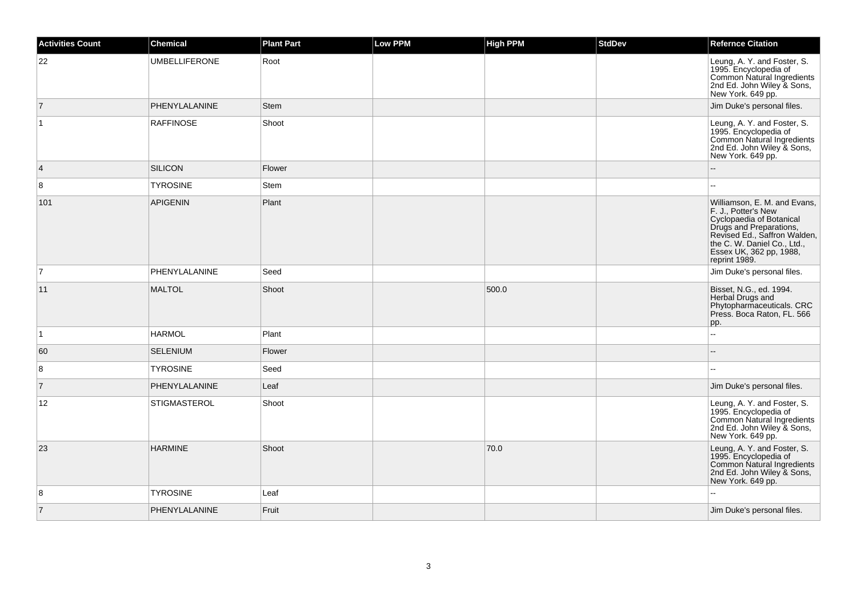| <b>Activities Count</b> | <b>Chemical</b>      | <b>Plant Part</b> | <b>Low PPM</b> | <b>High PPM</b> | <b>StdDev</b> | <b>Refernce Citation</b>                                                                                                                                                                                              |
|-------------------------|----------------------|-------------------|----------------|-----------------|---------------|-----------------------------------------------------------------------------------------------------------------------------------------------------------------------------------------------------------------------|
| 22                      | <b>UMBELLIFERONE</b> | Root              |                |                 |               | Leung, A. Y. and Foster, S.<br>1995. Encyclopedia of<br>Common Natural Ingredients<br>2nd Ed. John Wiley & Sons,<br>New York. 649 pp.                                                                                 |
| $\overline{7}$          | PHENYLALANINE        | <b>Stem</b>       |                |                 |               | Jim Duke's personal files.                                                                                                                                                                                            |
| $\vert$ 1               | <b>RAFFINOSE</b>     | Shoot             |                |                 |               | Leung, A. Y. and Foster, S.<br>1995. Encyclopedia of<br>Common Natural Ingredients<br>2nd Ed. John Wiley & Sons,<br>New York. 649 pp.                                                                                 |
| $\overline{4}$          | <b>SILICON</b>       | Flower            |                |                 |               |                                                                                                                                                                                                                       |
| 8                       | <b>TYROSINE</b>      | Stem              |                |                 |               | $\sim$                                                                                                                                                                                                                |
| 101                     | <b>APIGENIN</b>      | Plant             |                |                 |               | Williamson, E. M. and Evans,<br>F. J., Potter's New<br>Cyclopaedia of Botanical<br>Drugs and Preparations,<br>Revised Ed., Saffron Walden,<br>the C. W. Daniel Co., Ltd.,<br>Essex UK, 362 pp, 1988,<br>reprint 1989. |
| $\overline{7}$          | PHENYLALANINE        | Seed              |                |                 |               | Jim Duke's personal files.                                                                                                                                                                                            |
| 11                      | <b>MALTOL</b>        | Shoot             |                | 500.0           |               | Bisset, N.G., ed. 1994.<br>Herbal Drugs and<br>Phytopharmaceuticals. CRC<br>Press. Boca Raton, FL. 566<br>pp.                                                                                                         |
| $\vert$ 1               | <b>HARMOL</b>        | Plant             |                |                 |               | $\sim$ $\sim$                                                                                                                                                                                                         |
| 60                      | <b>SELENIUM</b>      | Flower            |                |                 |               | $\overline{a}$                                                                                                                                                                                                        |
| 8                       | <b>TYROSINE</b>      | Seed              |                |                 |               |                                                                                                                                                                                                                       |
| $\overline{7}$          | PHENYLALANINE        | Leaf              |                |                 |               | Jim Duke's personal files.                                                                                                                                                                                            |
| 12                      | <b>STIGMASTEROL</b>  | Shoot             |                |                 |               | Leung, A. Y. and Foster, S.<br>1995. Encyclopedia of<br>Common Natural Ingredients<br>2nd Ed. John Wiley & Sons,<br>New York. 649 pp.                                                                                 |
| 23                      | <b>HARMINE</b>       | Shoot             |                | 70.0            |               | Leung, A. Y. and Foster, S.<br>1995. Encyclopedia of<br>Common Natural Ingredients<br>2nd Ed. John Wiley & Sons,<br>New York. 649 pp.                                                                                 |
| 8                       | <b>TYROSINE</b>      | Leaf              |                |                 |               |                                                                                                                                                                                                                       |
| $\overline{7}$          | PHENYLALANINE        | Fruit             |                |                 |               | Jim Duke's personal files.                                                                                                                                                                                            |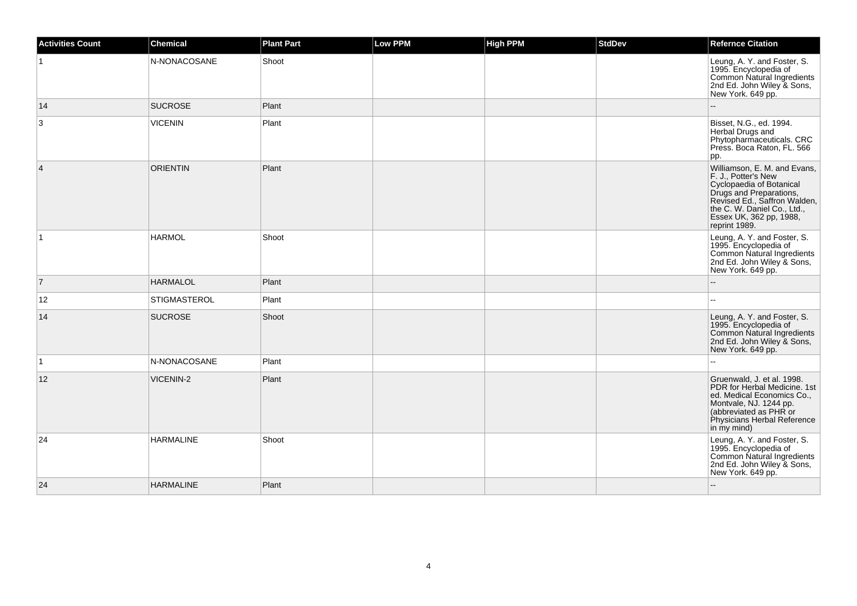| <b>Activities Count</b> | <b>Chemical</b>     | <b>Plant Part</b> | Low PPM | <b>High PPM</b> | <b>StdDev</b> | <b>Refernce Citation</b>                                                                                                                                                                                              |
|-------------------------|---------------------|-------------------|---------|-----------------|---------------|-----------------------------------------------------------------------------------------------------------------------------------------------------------------------------------------------------------------------|
|                         | N-NONACOSANE        | Shoot             |         |                 |               | Leung, A. Y. and Foster, S.<br>1995. Encyclopedia of<br>Common Natural Ingredients<br>2nd Ed. John Wiley & Sons,<br>New York. 649 pp.                                                                                 |
| 14                      | <b>SUCROSE</b>      | Plant             |         |                 |               |                                                                                                                                                                                                                       |
| 3                       | <b>VICENIN</b>      | Plant             |         |                 |               | Bisset, N.G., ed. 1994.<br>Herbal Drugs and<br>Phytopharmaceuticals. CRC<br>Press. Boca Raton, FL. 566<br>pp.                                                                                                         |
| $\overline{\mathbf{4}}$ | <b>ORIENTIN</b>     | Plant             |         |                 |               | Williamson, E. M. and Evans,<br>F. J., Potter's New<br>Cyclopaedia of Botanical<br>Drugs and Preparations,<br>Revised Ed., Saffron Walden,<br>the C. W. Daniel Co., Ltd.,<br>Essex UK, 362 pp, 1988,<br>reprint 1989. |
| $\vert$ 1               | <b>HARMOL</b>       | Shoot             |         |                 |               | Leung, A. Y. and Foster, S.<br>1995. Encyclopedia of<br>Common Natural Ingredients<br>2nd Ed. John Wiley & Sons,<br>New York. 649 pp.                                                                                 |
| $\overline{7}$          | <b>HARMALOL</b>     | Plant             |         |                 |               |                                                                                                                                                                                                                       |
| 12                      | <b>STIGMASTEROL</b> | Plant             |         |                 |               |                                                                                                                                                                                                                       |
| 14                      | <b>SUCROSE</b>      | Shoot             |         |                 |               | Leung, A. Y. and Foster, S.<br>1995. Encyclopedia of<br>Common Natural Ingredients<br>2nd Ed. John Wiley & Sons,<br>New York. 649 pp.                                                                                 |
| $\mathbf{1}$            | N-NONACOSANE        | Plant             |         |                 |               |                                                                                                                                                                                                                       |
| 12                      | <b>VICENIN-2</b>    | Plant             |         |                 |               | Gruenwald, J. et al. 1998.<br>PDR for Herbal Medicine. 1st<br>ed. Medical Economics Co.,<br>Montvale, NJ. 1244 pp.<br>(abbreviated as PHR or<br>Physicians Herbal Reference<br>in my mind)                            |
| 24                      | <b>HARMALINE</b>    | Shoot             |         |                 |               | Leung, A. Y. and Foster, S.<br>1995. Encyclopedia of<br>Common Natural Ingredients<br>2nd Ed. John Wiley & Sons,<br>New York. 649 pp.                                                                                 |
| 24                      | <b>HARMALINE</b>    | Plant             |         |                 |               |                                                                                                                                                                                                                       |